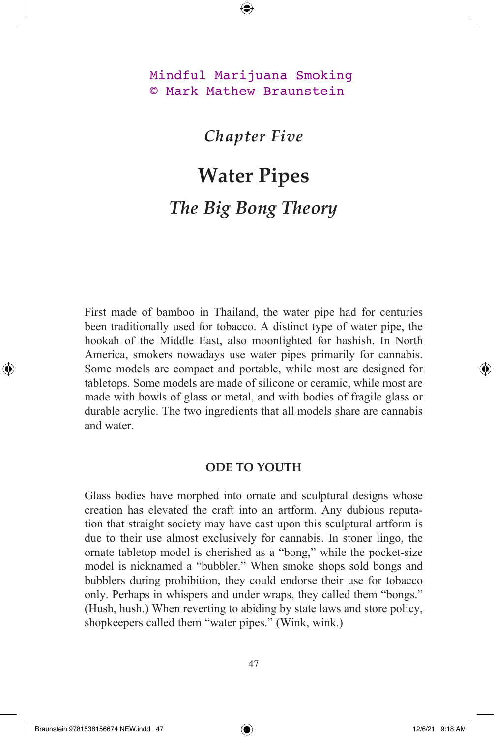Mindful Marijuana Smoking © Mark Mathew Braunstein

*Chapter Five*

## **Water Pipes** *The Big Bong Theory*

First made of bamboo in Thailand, the water pipe had for centuries been traditionally used for tobacco. A distinct type of water pipe, the hookah of the Middle East, also moonlighted for hashish. In North America, smokers nowadays use water pipes primarily for cannabis. Some models are compact and portable, while most are designed for tabletops. Some models are made of silicone or ceramic, while most are made with bowls of glass or metal, and with bodies of fragile glass or durable acrylic. The two ingredients that all models share are cannabis and water.

## **ODE TO YOUTH**

Glass bodies have morphed into ornate and sculptural designs whose creation has elevated the craft into an artform. Any dubious reputation that straight society may have cast upon this sculptural artform is due to their use almost exclusively for cannabis. In stoner lingo, the ornate tabletop model is cherished as a "bong," while the pocket-size model is nicknamed a "bubbler." When smoke shops sold bongs and bubblers during prohibition, they could endorse their use for tobacco only. Perhaps in whispers and under wraps, they called them "bongs." (Hush, hush.) When reverting to abiding by state laws and store policy, shopkeepers called them "water pipes." (Wink, wink.)